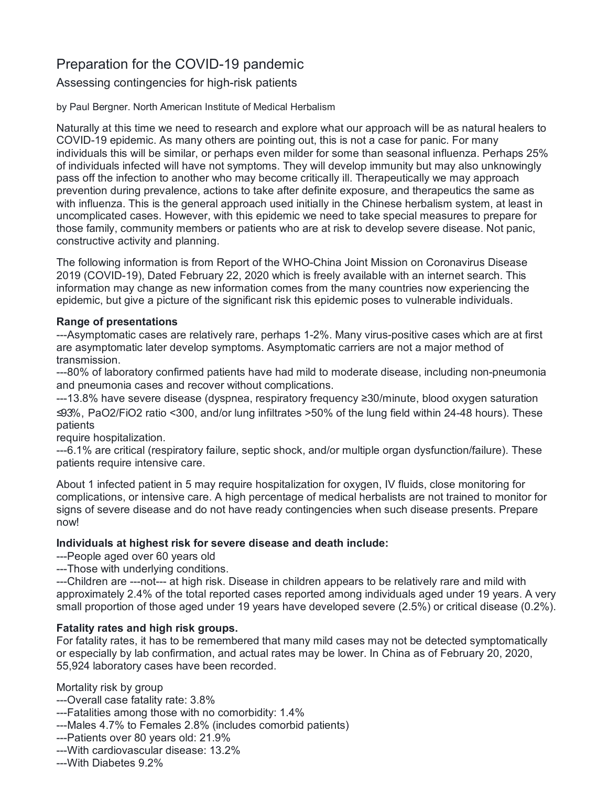# Preparation for the COVID-19 pandemic

Assessing contingencies for high-risk patients

by Paul Bergner. North American Institute of Medical Herbalism

Naturally at this time we need to research and explore what our approach will be as natural healers to COVID-19 epidemic. As many others are pointing out, this is not a case for panic. For many individuals this will be similar, or perhaps even milder for some than seasonal influenza. Perhaps 25% of individuals infected will have not symptoms. They will develop immunity but may also unknowingly pass off the infection to another who may become critically ill. Therapeutically we may approach prevention during prevalence, actions to take after definite exposure, and therapeutics the same as with influenza. This is the general approach used initially in the Chinese herbalism system, at least in uncomplicated cases. However, with this epidemic we need to take special measures to prepare for those family, community members or patients who are at risk to develop severe disease. Not panic, constructive activity and planning.

The following information is from Report of the WHO-China Joint Mission on Coronavirus Disease 2019 (COVID-19), Dated February 22, 2020 which is freely available with an internet search. This information may change as new information comes from the many countries now experiencing the epidemic, but give a picture of the significant risk this epidemic poses to vulnerable individuals.

#### **Range of presentations**

---Asymptomatic cases are relatively rare, perhaps 1-2%. Many virus-positive cases which are at first are asymptomatic later develop symptoms. Asymptomatic carriers are not a major method of transmission.

---80% of laboratory confirmed patients have had mild to moderate disease, including non-pneumonia and pneumonia cases and recover without complications.

---13.8% have severe disease (dyspnea, respiratory frequency ≥30/minute, blood oxygen saturation ≤9 3%, PaO2/FiO2 ratio <300, and/or lung infiltrates >50% of the lung field within 24-48 hours). These patients

require hospitalization.

---6.1% are critical (respiratory failure, septic shock, and/or multiple organ dysfunction/failure). These patients require intensive care.

About 1 infected patient in 5 may require hospitalization for oxygen, IV fluids, close monitoring for complications, or intensive care. A high percentage of medical herbalists are not trained to monitor for signs of severe disease and do not have ready contingencies when such disease presents. Prepare now!

## **Individuals at highest risk for severe disease and death include:**

---People aged over 60 years old

---Those with underlying conditions.

---Children are ---not--- at high risk. Disease in children appears to be relatively rare and mild with approximately 2.4% of the total reported cases reported among individuals aged under 19 years. A very small proportion of those aged under 19 years have developed severe (2.5%) or critical disease (0.2%).

## **Fatality rates and high risk groups.**

For fatality rates, it has to be remembered that many mild cases may not be detected symptomatically or especially by lab confirmation, and actual rates may be lower. In China as of February 20, 2020, 55,924 laboratory cases have been recorded.

Mortality risk by group

---Overall case fatality rate: 3.8%

---Fatalities among those with no comorbidity: 1.4%

- ---Males 4.7% to Females 2.8% (includes comorbid patients)
- ---Patients over 80 years old: 21.9%
- ---With cardiovascular disease: 13.2%

---With Diabetes 9.2%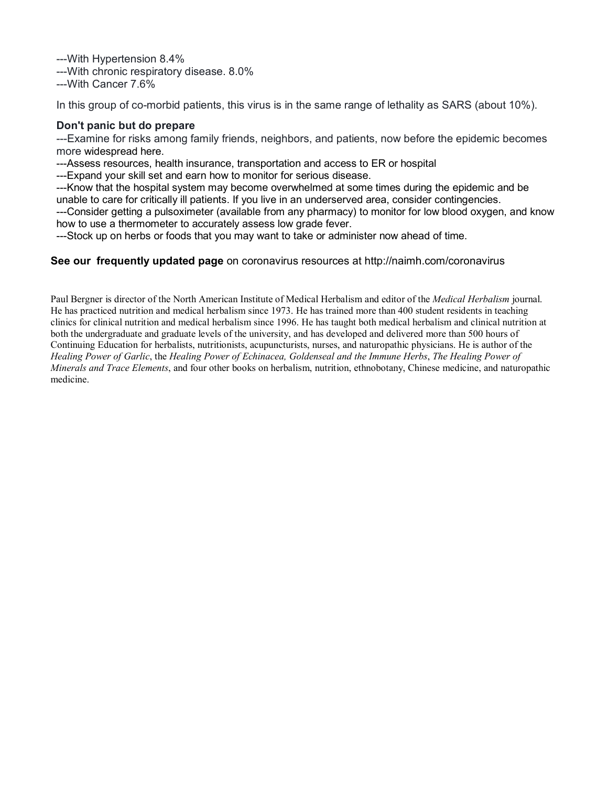---With Hypertension 8.4%

---With chronic respiratory disease. 8.0%

---With Cancer 7.6%

In this group of co-morbid patients, this virus is in the same range of lethality as SARS (about 10%).

#### **Don't panic but do prepare**

---Examine for risks among family friends, neighbors, and patients, now before the epidemic becomes more widespread here.

---Assess resources, health insurance, transportation and access to ER or hospital

---Expand your skill set and earn how to monitor for serious disease.

---Know that the hospital system may become overwhelmed at some times during the epidemic and be unable to care for critically ill patients. If you live in an underserved area, consider contingencies.

---Consider getting a pulsoximeter (available from any pharmacy) to monitor for low blood oxygen, and know how to use a thermometer to accurately assess low grade fever.

---Stock up on herbs or foods that you may want to take or administer now ahead of time.

#### **See our frequently updated page** on coronavirus resources at http://naimh.com/coronavirus

Paul Bergner is director of the North American Institute of Medical Herbalism and editor of the *Medical Herbalism* journal. He has practiced nutrition and medical herbalism since 1973. He has trained more than 400 student residents in teaching clinics for clinical nutrition and medical herbalism since 1996. He has taught both medical herbalism and clinical nutrition at both the undergraduate and graduate levels of the university, and has developed and delivered more than 500 hours of Continuing Education for herbalists, nutritionists, acupuncturists, nurses, and naturopathic physicians. He is author of the *Healing Power of Garlic*, the *Healing Power of Echinacea, Goldenseal and the Immune Herbs*, *The Healing Power of Minerals and Trace Elements*, and four other books on herbalism, nutrition, ethnobotany, Chinese medicine, and naturopathic medicine.